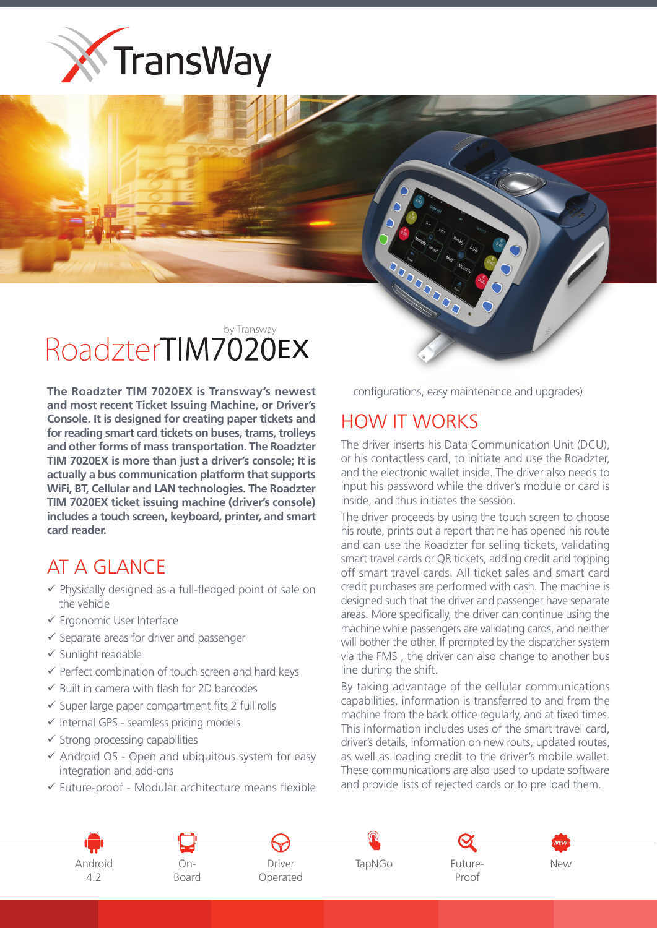

## by Transway RoadzterTIM7020EX

**The Roadzter TIM 7020EX is Transway's newest** and most recent Ticket Issuing Machine, or Driver's **Console. It is designed for creating paper tickets and** for reading smart card tickets on buses, trams, trolleys and other forms of mass transportation. The Roadzter  **TIM 7020EX is more than just a driver's console: It is** actually a bus communication platform that supports **WiFi, BT, Cellular and LAN technologies. The Roadzter TIM 7020EX ticket issuing machine (driver's console)** includes a touch screen, keyboard, printer, and smart card reader.

## AT A GLANCE

- $\checkmark$  Physically designed as a full-fledged point of sale on the vehicle
- $\checkmark$  Ergonomic User Interface
- $\checkmark$  Separate areas for driver and passenger
- $\checkmark$  Sunlight readable
- $\checkmark$  Perfect combination of touch screen and hard keys
- $\checkmark$  Built in camera with flash for 2D barcodes
- $\checkmark$  Super large paper compartment fits 2 full rolls
- $\checkmark$  Internal GPS seamless pricing models
- $\checkmark$  Strong processing capabilities
- $\checkmark$  Android OS Open and ubiquitous system for easy integration and add-ons
- $\checkmark$  Future-proof Modular architecture means flexible

configurations, easy maintenance and upgrades)

## HOW IT WORKS

The driver inserts his Data Communication Unit (DCU). or his contactless card, to initiate and use the Roadzter. and the electronic wallet inside. The driver also needs to input his password while the driver's module or card is inside, and thus initiates the session.

The driver proceeds by using the touch screen to choose his route, prints out a report that he has opened his route and can use the Roadzter for selling tickets, validating smart travel cards or QR tickets, adding credit and topping off smart travel cards. All ticket sales and smart card credit purchases are performed with cash. The machine is designed such that the driver and passenger have separate areas. More specifically, the driver can continue using the machine while passengers are validating cards, and neither will bother the other. If prompted by the dispatcher system via the FMS, the driver can also change to another bus line during the shift.

By taking advantage of the cellular communications capabilities, information is transferred to and from the machine from the back office regularly, and at fixed times. This information includes uses of the smart travel card, driver's details, information on new routs, updated routes, as well as loading credit to the driver's mobile wallet. These communications are also used to update software and provide lists of rejected cards or to pre load them.